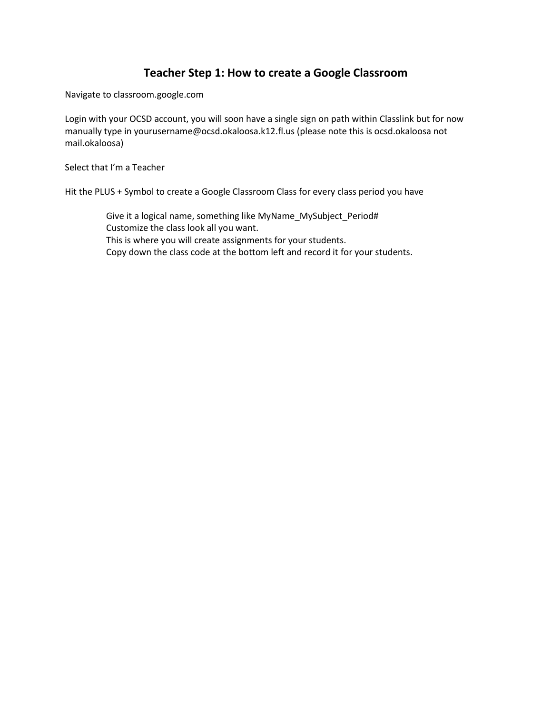## **Teacher Step 1: How to create a Google Classroom**

Navigate to classroom.google.com

Login with your OCSD account, you will soon have a single sign on path within Classlink but for now manually type in yourusername@ocsd.okaloosa.k12.fl.us (please note this is ocsd.okaloosa not mail.okaloosa)

Select that I'm a Teacher

Hit the PLUS + Symbol to create a Google Classroom Class for every class period you have

Give it a logical name, something like MyName\_MySubject\_Period# Customize the class look all you want. This is where you will create assignments for your students. Copy down the class code at the bottom left and record it for your students.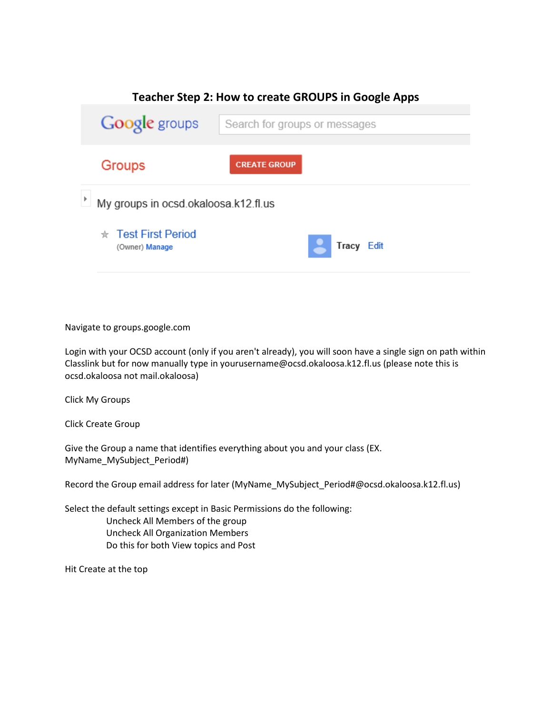

#### Navigate to groups.google.com

Login with your OCSD account (only if you aren't already), you will soon have a single sign on path within Classlink but for now manually type in yourusername@ocsd.okaloosa.k12.fl.us (please note this is ocsd.okaloosa not mail.okaloosa)

Click My Groups

Click Create Group

Give the Group a name that identifies everything about you and your class (EX. MyName\_MySubject\_Period#)

Record the Group email address for later (MyName\_MySubject\_Period#@ocsd.okaloosa.k12.fl.us)

Select the default settings except in Basic Permissions do the following: Uncheck All Members of the group Uncheck All Organization Members Do this for both View topics and Post

Hit Create at the top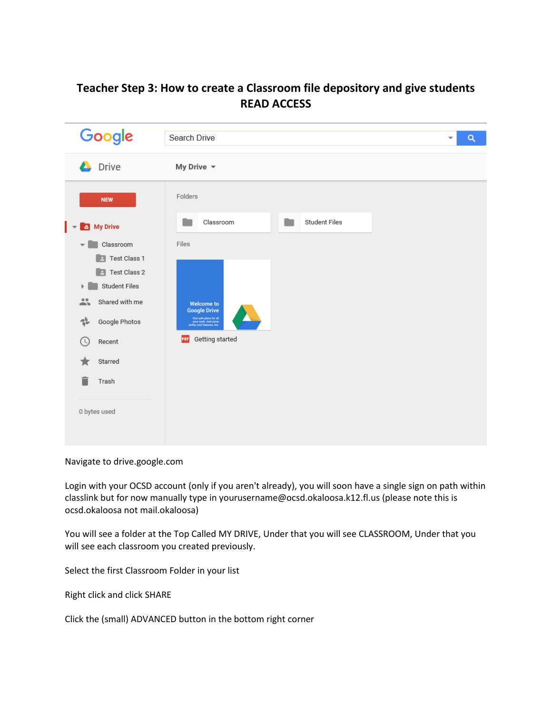# **Teacher Step 3: How to create a Classroom file depository and give students READ ACCESS**

| Google                                                                                                                                                                                                        | Search Drive<br>$\alpha$<br>$\overline{\mathbf{v}}$                                                                                                        |
|---------------------------------------------------------------------------------------------------------------------------------------------------------------------------------------------------------------|------------------------------------------------------------------------------------------------------------------------------------------------------------|
| <b>Drive</b>                                                                                                                                                                                                  | My Drive $\sim$                                                                                                                                            |
| <b>NEW</b>                                                                                                                                                                                                    | Folders                                                                                                                                                    |
| <sup>4</sup> My Drive                                                                                                                                                                                         | Student Files<br>Classroom                                                                                                                                 |
| Classroom<br>$\overline{\mathbf{v}}$<br><b>E</b> Test Class 1<br><b>E</b> Test Class 2<br>Student Files<br>Þ<br>盐<br>Shared with me<br>뤺<br>Google Photos<br>(C<br>Recent<br>Starred<br>Trash<br>0 bytes used | Files<br><b>Welcome to</b><br><b>Google Drive</b><br>One safe place for all<br>your work. And some<br>pretty cool features, too.<br>Getting started<br>PDF |

Navigate to drive.google.com

Login with your OCSD account (only if you aren't already), you will soon have a single sign on path within classlink but for now manually type in yourusername@ocsd.okaloosa.k12.fl.us (please note this is ocsd.okaloosa not mail.okaloosa)

You will see a folder at the Top Called MY DRIVE, Under that you will see CLASSROOM, Under that you will see each classroom you created previously.

Select the first Classroom Folder in your list

Right click and click SHARE

Click the (small) ADVANCED button in the bottom right corner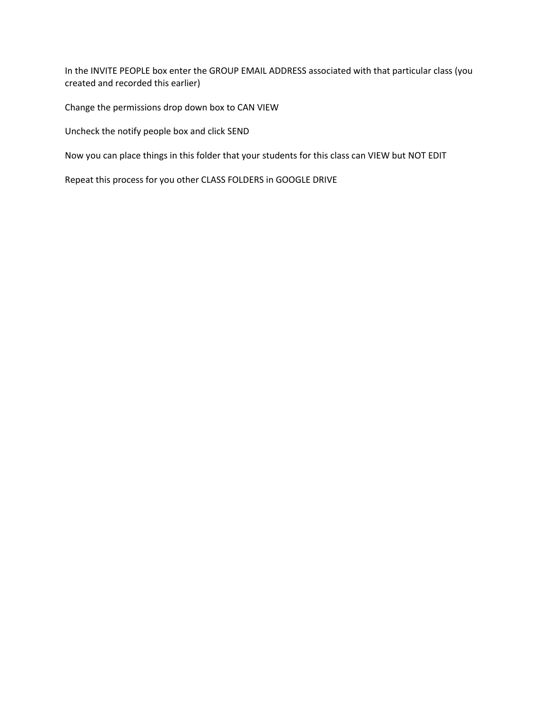In the INVITE PEOPLE box enter the GROUP EMAIL ADDRESS associated with that particular class (you created and recorded this earlier)

Change the permissions drop down box to CAN VIEW

Uncheck the notify people box and click SEND

Now you can place things in this folder that your students for this class can VIEW but NOT EDIT

Repeat this process for you other CLASS FOLDERS in GOOGLE DRIVE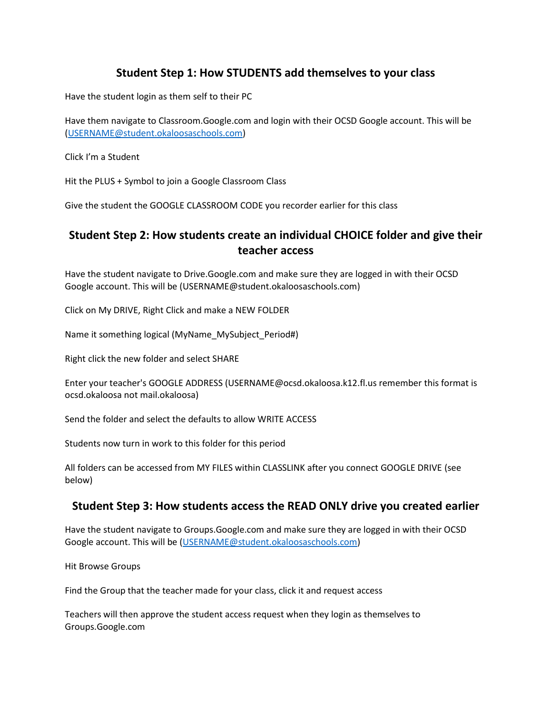## **Student Step 1: How STUDENTS add themselves to your class**

Have the student login as them self to their PC

Have them navigate to Classroom.Google.com and login with their OCSD Google account. This will be [\(USERNAME@student.okaloosaschools.com\)](mailto:USERNAME@student.okaloosaschools.com)

Click I'm a Student

Hit the PLUS + Symbol to join a Google Classroom Class

Give the student the GOOGLE CLASSROOM CODE you recorder earlier for this class

## **Student Step 2: How students create an individual CHOICE folder and give their teacher access**

Have the student navigate to Drive.Google.com and make sure they are logged in with their OCSD Google account. This will be (USERNAME@student.okaloosaschools.com)

Click on My DRIVE, Right Click and make a NEW FOLDER

Name it something logical (MyName\_MySubject\_Period#)

Right click the new folder and select SHARE

Enter your teacher's GOOGLE ADDRESS (USERNAME@ocsd.okaloosa.k12.fl.us remember this format is ocsd.okaloosa not mail.okaloosa)

Send the folder and select the defaults to allow WRITE ACCESS

Students now turn in work to this folder for this period

All folders can be accessed from MY FILES within CLASSLINK after you connect GOOGLE DRIVE (see below)

#### **Student Step 3: How students access the READ ONLY drive you created earlier**

Have the student navigate to Groups.Google.com and make sure they are logged in with their OCSD Google account. This will be [\(USERNAME@student.okaloosaschools.com\)](mailto:USERNAME@student.okaloosaschools.com)

Hit Browse Groups

Find the Group that the teacher made for your class, click it and request access

Teachers will then approve the student access request when they login as themselves to Groups.Google.com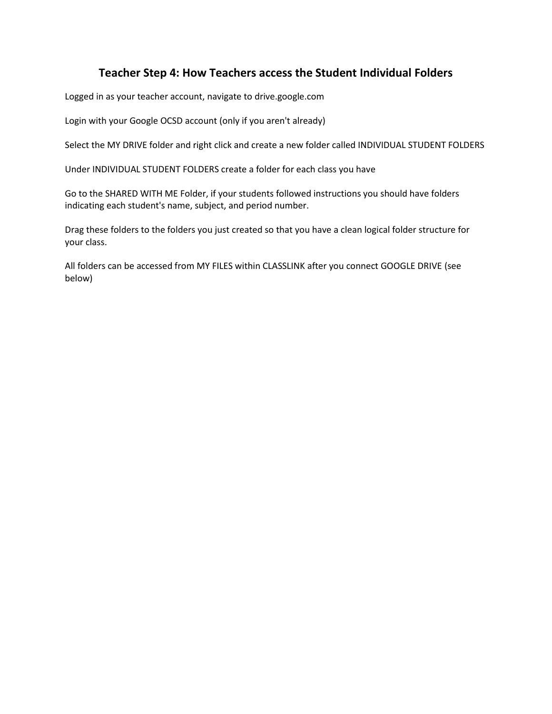## **Teacher Step 4: How Teachers access the Student Individual Folders**

Logged in as your teacher account, navigate to drive.google.com

Login with your Google OCSD account (only if you aren't already)

Select the MY DRIVE folder and right click and create a new folder called INDIVIDUAL STUDENT FOLDERS

Under INDIVIDUAL STUDENT FOLDERS create a folder for each class you have

Go to the SHARED WITH ME Folder, if your students followed instructions you should have folders indicating each student's name, subject, and period number.

Drag these folders to the folders you just created so that you have a clean logical folder structure for your class.

All folders can be accessed from MY FILES within CLASSLINK after you connect GOOGLE DRIVE (see below)